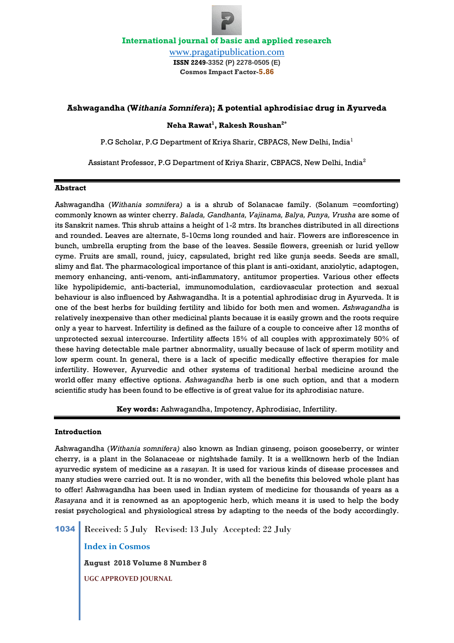# **Ashwagandha (W***ithania Somnifera***); A potential aphrodisiac drug in Ayurveda**

**Neha Rawat<sup>1</sup> , Rakesh Roushan2\***

P.G Scholar, P.G Department of Kriya Sharir, CBPACS, New Delhi, India<sup>1</sup>

Assistant Professor, P.G Department of Kriya Sharir, CBPACS, New Delhi, India<sup>2</sup>

### **Abstract**

Ashwagandha (*Withania somnifera)* a is a shrub of Solanacae family. (Solanum =comforting) commonly known as winter cherry. *Balada, Gandhanta, Vajinama, Balya, Punya, Vrusha* are some of its Sanskrit names. This shrub attains a height of 1-2 mtrs. Its branches distributed in all directions and rounded. Leaves are alternate, 5-10cms long rounded and hair. Flowers are inflorescence in bunch, umbrella erupting from the base of the leaves. Sessile flowers, greenish or lurid yellow cyme. Fruits are small, round, juicy, capsulated, bright red like gunja seeds. Seeds are small, slimy and flat. The pharmacological importance of this plant is anti-oxidant, anxiolytic, adaptogen, memory enhancing, anti-venom, anti-inflammatory, antitumor properties. Various other effects like hypolipidemic, anti-bacterial, immunomodulation, cardiovascular protection and sexual behaviour is also influenced by Ashwagandha. It is a potential aphrodisiac drug in Ayurveda. It is one of the best herbs for building fertility and libido for both men and women. *Ashwagandha* is relatively inexpensive than other medicinal plants because it is easily grown and the roots require only a year to harvest. Infertility is defined as the failure of a couple to conceive after 12 months of unprotected sexual intercourse. Infertility affects 15% of all couples with approximately 50% of these having detectable male partner abnormality, usually because of lack of sperm motility and low sperm count. In general, there is a lack of specific medically effective therapies for male infertility. However, Ayurvedic and other systems of traditional herbal medicine around the world offer many effective options. *Ashwagandha* herb is one such option, and that a modern scientific study has been found to be effective is of great value for its aphrodisiac nature.

**Key words:** Ashwagandha, Impotency, Aphrodisiac, Infertility.

# **Introduction**

Ashwagandha (*Withania somnifera)* also known as Indian ginseng, poison gooseberry, or winter cherry, is a plant in the Solanaceae or nightshade family. It is a wellknown herb of the Indian ayurvedic system of medicine as a *rasayan.* It is used for various kinds of disease processes and many studies were carried out. It is no wonder, with all the benefits this beloved whole plant has to offer! Ashwagandha has been used in Indian system of medicine for thousands of years as a *Rasayana* and it is renowned as an apoptogenic herb, which means it is used to help the body resist psychological and physiological stress by adapting to the needs of the body accordingly.

1034 Received: 5 July Revised: 13 July Accepted: 22 July

**Index in Cosmos**

**August 2018 Volume 8 Number 8**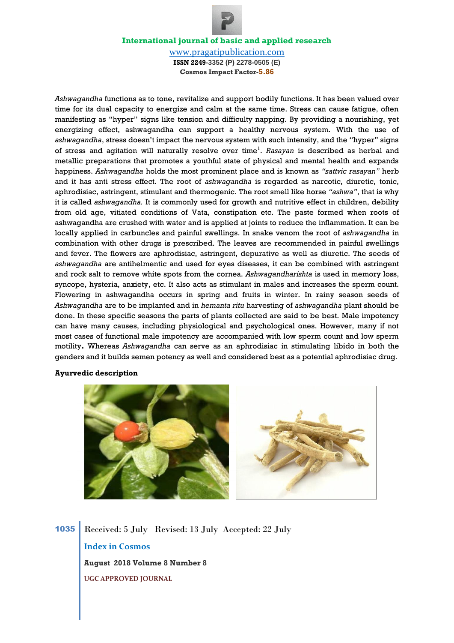[www.pragatipublication.com](http://www.pragatipublication.com/) **ISSN 2249-3352 (P) 2278-0505 (E) Cosmos Impact Factor-5.86**

*Ashwagandha* functions as to tone, revitalize and support bodily functions. It has been valued over time for its dual capacity to energize and calm at the same time. Stress can cause fatigue, often manifesting as "hyper" signs like tension and difficulty napping. By providing a nourishing, yet energizing effect, ashwagandha can support a healthy nervous system. With the use of *ashwagandha*, stress doesn't impact the nervous system with such intensity, and the "hyper" signs of stress and agitation will naturally resolve over time<sup>1</sup>. *Rasayan* is described as herbal and metallic preparations that promotes a youthful state of physical and mental health and expands happiness. *Ashwagandha* holds the most prominent place and is known as *"sattvic rasayan"* herb and it has anti stress effect. The root of *ashwagandha* is regarded as narcotic, diuretic, tonic, aphrodisiac, astringent, stimulant and thermogenic. The root smell like horse *"ashwa"*, that is why it is called *ashwagandha.* It is commonly used for growth and nutritive effect in children, debility from old age, vitiated conditions of Vata, constipation etc. The paste formed when roots of ashwagandha are crushed with water and is applied at joints to reduce the inflammation. It can be locally applied in carbuncles and painful swellings. In snake venom the root of *ashwagandha* in combination with other drugs is prescribed. The leaves are recommended in painful swellings and fever. The flowers are aphrodisiac, astringent, depurative as well as diuretic. The seeds of *ashwagandha* are antihelmentic and used for eyes diseases, it can be combined with astringent and rock salt to remove white spots from the cornea. *Ashwagandharishta* is used in memory loss, syncope, hysteria, anxiety, etc. It also acts as stimulant in males and increases the sperm count. Flowering in ashwagandha occurs in spring and fruits in winter. In rainy season seeds of *Ashwagandha* are to be implanted and in *hemanta ritu* harvesting of *ashwagandha* plant should be done. In these specific seasons the parts of plants collected are said to be best. Male impotency can have many causes, including physiological and psychological ones. However, many if not most cases of functional male impotency are accompanied with low sperm count and low sperm motility**.** Whereas *Ashwagandha* can serve as an aphrodisiac in stimulating libido in both the genders and it builds semen potency as well and considered best as a potential aphrodisiac drug.

# **Ayurvedic description**



1035 Received: 5 July Revised: 13 July Accepted: 22 July **Index in Cosmos August 2018 Volume 8 Number 8 UGC APPROVED JOURNAL**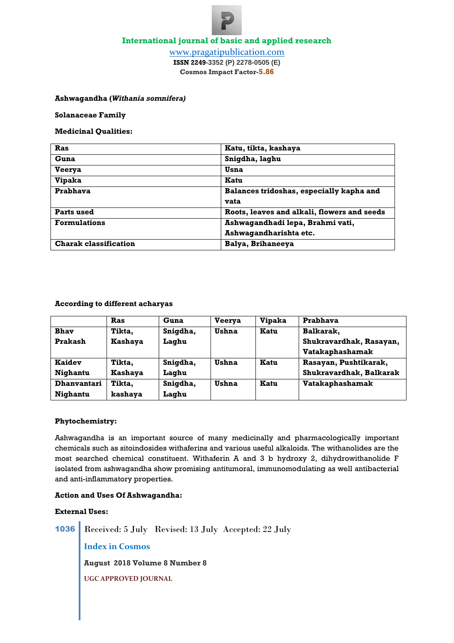

[www.pragatipublication.com](http://www.pragatipublication.com/) **ISSN 2249-3352 (P) 2278-0505 (E) Cosmos Impact Factor-5.86**

**Ashwagandha (***Withania somnifera)*

**Solanaceae Family** 

**Medicinal Qualities:**

| Ras                          | Katu, tikta, kashaya                        |
|------------------------------|---------------------------------------------|
| Guna                         | Snigdha, laghu                              |
| <b>Veerya</b>                | Usna                                        |
| <b>Vipaka</b>                | Katu                                        |
| Prabhava                     | Balances tridoshas, especially kapha and    |
|                              | vata                                        |
| Parts used                   | Roots, leaves and alkali, flowers and seeds |
| <b>Formulations</b>          | Ashwagandhadi lepa, Brahmi vati,            |
|                              | Ashwagandharishta etc.                      |
| <b>Charak classification</b> | Balya, Brihaneeya                           |

# **According to different acharyas**

|                    | Ras            | Guna     | <b>Veerva</b> | <b>Vipaka</b> | Prabhava                |
|--------------------|----------------|----------|---------------|---------------|-------------------------|
| <b>Bhav</b>        | Tikta,         | Snigdha, | Ushna         | Katu          | Balkarak,               |
| Prakash            | <b>Kashaya</b> | Laghu    |               |               | Shukravardhak, Rasayan, |
|                    |                |          |               |               | Vatakaphashamak         |
| <b>Kaidev</b>      | Tikta,         | Snigdha, | Ushna         | Katu          | Rasayan, Pushtikarak,   |
| Nighantu           | <b>Kashaya</b> | Laghu    |               |               | Shukravardhak, Balkarak |
| <b>Dhanvantari</b> | Tikta,         | Snigdha, | Ushna         | Katu          | Vatakaphashamak         |
| Nighantu           | kashaya        | Laghu    |               |               |                         |

## **Phytochemistry:**

Ashwagandha is an important source of many medicinally and pharmacologically important chemicals such as sitoindosides withaferins and various useful alkaloids. The withanolides are the most searched chemical constituent. Withaferin A and 3 b hydroxy 2, dihydrowithanolide F isolated from ashwagandha show promising antitumoral, immunomodulating as well antibacterial and anti-inflammatory properties.

## **Action and Uses Of Ashwagandha:**

## **External Uses:**

1036 Received: 5 July Revised: 13 July Accepted: 22 July

**Index in Cosmos**

**August 2018 Volume 8 Number 8**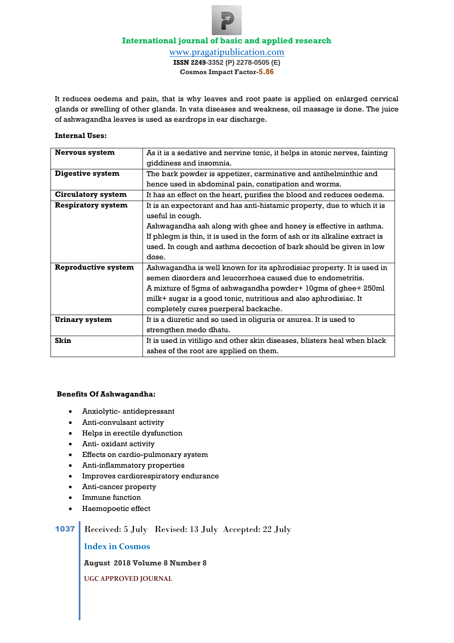[www.pragatipublication.com](http://www.pragatipublication.com/) **ISSN 2249-3352 (P) 2278-0505 (E) Cosmos Impact Factor-5.86**

It reduces oedema and pain, that is why leaves and root paste is applied on enlarged cervical glands or swelling of other glands. In vata diseases and weakness, oil massage is done. The juice of ashwagandha leaves is used as eardrops in ear discharge.

## **Internal Uses:**

| <b>Nervous system</b>      | As it is a sedative and nervine tonic, it helps in atonic nerves, fainting  |
|----------------------------|-----------------------------------------------------------------------------|
|                            | giddiness and insomnia.                                                     |
| <b>Digestive system</b>    | The bark powder is appetizer, carminative and antihelminthic and            |
|                            | hence used in abdominal pain, constipation and worms.                       |
| <b>Circulatory system</b>  | It has an effect on the heart, purifies the blood and reduces oedema.       |
| <b>Respiratory system</b>  | It is an expectorant and has anti-histamic property, due to which it is     |
|                            | useful in cough.                                                            |
|                            | Ashwagandha ash along with ghee and honey is effective in asthma.           |
|                            | If phlegm is thin, it is used in the form of ash or its alkaline extract is |
|                            | used. In cough and asthma decoction of bark should be given in low          |
|                            | dose.                                                                       |
| <b>Reproductive system</b> | Ashwagandha is well known for its aphrodisiac property. It is used in       |
|                            | semen disorders and leucorrhoea caused due to endometritis.                 |
|                            | A mixture of 5gms of ashwagandha powder+ 10gms of ghee+ 250ml               |
|                            | milk+ sugar is a good tonic, nutritious and also aphrodisiac. It            |
|                            | completely cures puerperal backache.                                        |
| <b>Urinary system</b>      | It is a diuretic and so used in oliguria or anurea. It is used to           |
|                            | strengthen medo dhatu.                                                      |
| Skin                       | It is used in vitiligo and other skin diseases, blisters heal when black    |
|                            | ashes of the root are applied on them.                                      |

### **Benefits Of Ashwagandha:**

- Anxiolytic- antidepressant
- Anti-convulsant activity
- Helps in erectile dysfunction
- Anti- oxidant activity
- Effects on cardio-pulmonary system
- Anti-inflammatory properties
- Improves cardiorespiratory endurance
- Anti-cancer property
- Immune function
- Haemopoetic effect

# 1037 Received: 5 July Revised: 13 July Accepted: 22 July

**Index in Cosmos**

**August 2018 Volume 8 Number 8**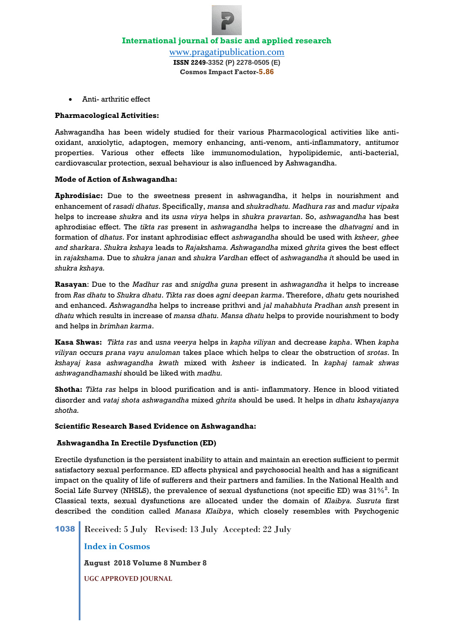

Anti- arthritic effect

## **Pharmacological Activities:**

Ashwagandha has been widely studied for their various Pharmacological activities like antioxidant, anxiolytic, adaptogen, memory enhancing, anti-venom, anti-inflammatory, antitumor properties. Various other effects like immunomodulation, hypolipidemic, anti-bacterial, cardiovascular protection, sexual behaviour is also influenced by Ashwagandha.

# **Mode of Action of Ashwagandha:**

**Aphrodisiac:** Due to the sweetness present in ashwagandha, it helps in nourishment and enhancement of *rasadi dhatus*. Specifically, *mansa* and *shukradhatu. Madhura ras* and *madur vipaka*  helps to increase *shukra* and its *usna virya* helps in *shukra pravartan*. So, *ashwagandha* has best aphrodisiac effect. The *tikta ras* present in *ashwagandha* helps to increase the *dhatvagni* and in formation of *dhatus*. For instant aphrodisiac effect *ashwagandha* should be used with *ksheer, ghee and sharkara*. *Shukra kshaya* leads to *Rajakshama. Ashwagandha* mixed *ghrita* gives the best effect in *rajakshama.* Due to *shukra janan* and *shukra Vardhan* effect of *ashwagandha i*t should be used in *shukra kshaya.*

**Rasayan**: Due to the *Madhur ras* and *snigdha guna* present in *ashwagandha* it helps to increase from *Ras dhatu* to *Shukra dhatu*. *Tikta ras* does *agni deepan karma*. Therefore, *dhatu* gets nourished and enhanced. *Ashwagandha* helps to increase prithvi and *jal mahabhuta Pradhan ansh* present in *dhatu* which results in increase of *mansa dhatu. Mansa dhatu* helps to provide nourishment to body and helps in *brimhan karma*.

**Kasa Shwas:** *Tikta ras* and *usna veerya* helps in *kapha viliyan* and decrease *kapha*. When *kapha viliyan* occurs *prana vayu anuloman* takes place which helps to clear the obstruction of *srotas*. In *kshayaj kasa ashwagandha kwath* mixed with *ksheer* is indicated. In *kaphaj tamak shwas ashwagandhamashi* should be liked with *madhu.*

**Shotha:** *Tikta ras* helps in blood purification and is anti- inflammatory. Hence in blood vitiated disorder and *vataj shota ashwagandha* mixed *ghrita* should be used. It helps in *dhatu kshayajanya shotha.*

### **Scientific Research Based Evidence on Ashwagandha:**

### **Ashwagandha In Erectile Dysfunction (ED)**

Erectile dysfunction is the persistent inability to attain and maintain an erection sufficient to permit satisfactory sexual performance. ED affects physical and psychosocial health and has a significant impact on the quality of life of sufferers and their partners and families. In the National Health and Social Life Survey (NHSLS), the prevalence of sexual dysfunctions (not specific ED) was  $31\%^2$ . In Classical texts, sexual dysfunctions are allocated under the domain of *Klaibya. Susruta* first described the condition called *Manasa Klaibya*, which closely resembles with Psychogenic

1038 Received: 5 July Revised: 13 July Accepted: 22 July

**Index in Cosmos**

**August 2018 Volume 8 Number 8**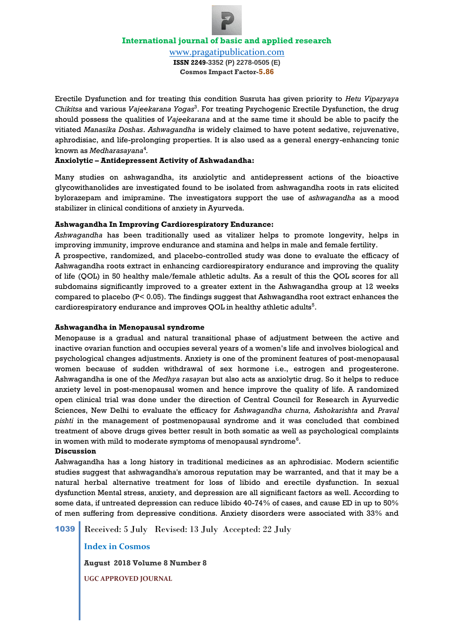[www.pragatipublication.com](http://www.pragatipublication.com/) **ISSN 2249-3352 (P) 2278-0505 (E) Cosmos Impact Factor-5.86**

Erectile Dysfunction and for treating this condition Susruta has given priority to *Hetu Viparyaya Chikitsa* and various *Vajeekarana Yogas*<sup>3</sup> . For treating Psychogenic Erectile Dysfunction, the drug should possess the qualities of *Vajeekarana* and at the same time it should be able to pacify the vitiated *Manasika Doshas*. *Ashwagandha* is widely claimed to have potent sedative, rejuvenative, aphrodisiac, and life-prolonging properties. It is also used as a general energy-enhancing tonic known as *Medharasayana*<sup>4</sup> *.*

# **Anxiolytic – Antidepressent Activity of Ashwadandha:**

Many studies on ashwagandha, its anxiolytic and antidepressent actions of the bioactive glycowithanolides are investigated found to be isolated from ashwagandha roots in rats elicited bylorazepam and imipramine. The investigators support the use of *ashwagandha* as a mood stabilizer in clinical conditions of anxiety in Ayurveda.

# **Ashwagandha In Improving Cardiorespiratory Endurance:**

*Ashwagandha* has been traditionally used as vitalizer helps to promote longevity, helps in improving immunity, improve endurance and stamina and helps in male and female fertility.

A prospective, randomized, and placebo-controlled study was done to evaluate the efficacy of Ashwagandha roots extract in enhancing cardiorespiratory endurance and improving the quality of life (QOL) in 50 healthy male/female athletic adults. As a result of this the QOL scores for all subdomains significantly improved to a greater extent in the Ashwagandha group at 12 weeks compared to placebo (P< 0.05). The findings suggest that Ashwagandha root extract enhances the cardiorespiratory endurance and improves QOL in healthy athletic adults $^5$ .

# **Ashwagandha in Menopausal syndrome**

Menopause is a gradual and natural transitional phase of adjustment between the active and inactive ovarian function and occupies several years of a women's life and involves biological and psychological changes adjustments. Anxiety is one of the prominent features of post-menopausal women because of sudden withdrawal of sex hormone i.e., estrogen and progesterone. Ashwagandha is one of the *Medhya rasayan* but also acts as anxiolytic drug. So it helps to reduce anxiety level in post-menopausal women and hence improve the quality of life. A randomized open clinical trial was done under the direction of Central Council for Research in Ayurvedic Sciences, New Delhi to evaluate the efficacy for *Ashwagandha churna, Ashokarishta* and *Praval pishti* in the management of postmenopausal syndrome and it was concluded that combined treatment of above drugs gives better result in both somatic as well as psychological complaints in women with mild to moderate symptoms of menopausal syndrome $^6.$ 

### **Discussion**

Ashwagandha has a long history in traditional medicines as an aphrodisiac. Modern scientific studies suggest that ashwagandha's amorous reputation may be warranted, and that it may be a natural herbal alternative treatment for loss of libido and erectile dysfunction. In sexual dysfunction Mental stress, anxiety, and depression are all significant factors as well. According to some data, if untreated depression can reduce libido 40-74% of cases, and cause ED in up to 50% of men suffering from depressive conditions. Anxiety disorders were associated with 33% and

1039 Received: 5 July Revised: 13 July Accepted: 22 July

**Index in Cosmos**

**August 2018 Volume 8 Number 8**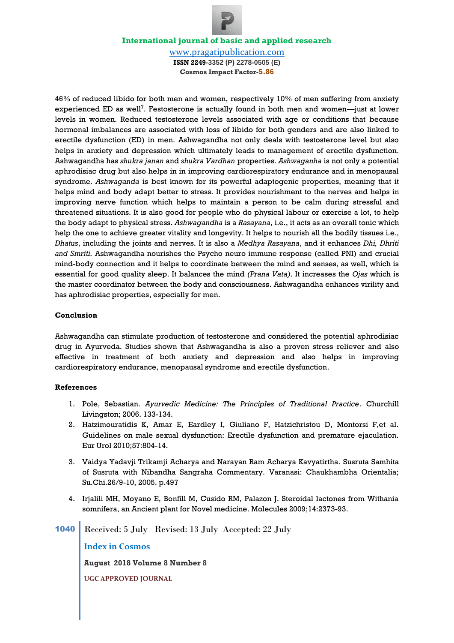[www.pragatipublication.com](http://www.pragatipublication.com/) **ISSN 2249-3352 (P) 2278-0505 (E) Cosmos Impact Factor-5.86**

46% of reduced libido for both men and women, respectively 10% of men suffering from anxiety experienced ED as well<sup>7</sup>. Festosterone is actually found in both men and women—just at lower levels in women. Reduced testosterone levels associated with age or conditions that because hormonal imbalances are associated with loss of libido for both genders and are also linked to erectile dysfunction (ED) in men. Ashwagandha not only deals with testosterone level but also helps in anxiety and depression which ultimately leads to management of erectile dysfunction. Ashwagandha has *shukra janan* and *shukra Vardhan* properties. *Ashwaganha* is not only a potential aphrodisiac drug but also helps in in improving cardiorespiratory endurance and in menopausal syndrome. *Ashwaganda* is best known for its powerful adaptogenic properties, meaning that it helps mind and body adapt better to stress. It provides nourishment to the nerves and helps in improving nerve function which helps to maintain a person to be calm during stressful and threatened situations. It is also good for people who do physical labour or exercise a lot, to help the body adapt to physical stress. *Ashwagandha* is a *Rasayana*, i.e., it acts as an overall tonic which help the one to achieve greater vitality and longevity. It helps to nourish all the bodily tissues i.e., *Dhatus*, including the joints and nerves. It is also a *Medhya Rasayana*, and it enhances *Dhi, Dhriti and Smriti.* Ashwagandha nourishes the Psycho neuro immune response (called PNI) and crucial mind-body connection and it helps to coordinate between the mind and senses, as well, which is essential for good quality sleep. It balances the mind *(Prana Vata)*. It increases the *Ojas* which is the master coordinator between the body and consciousness. Ashwagandha enhances virility and has aphrodisiac properties, especially for men.

# **Conclusion**

Ashwagandha can stimulate production of testosterone and considered the potential aphrodisiac drug in Ayurveda. Studies shown that Ashwagandha is also a proven stress reliever and also effective in treatment of both anxiety and depression and also helps in improving cardiorespiratory endurance, menopausal syndrome and erectile dysfunction.

### **References**

- 1. Pole, Sebastian. *Ayurvedic Medicine: The Principles of Traditional Practice*. Churchill Livingston; 2006. 133-134.
- 2. Hatzimouratidis K, Amar E, Eardley I, Giuliano F, Hatzichristou D, Montorsi F,et al. Guidelines on male sexual dysfunction: Erectile dysfunction and premature ejaculation. Eur Urol 2010;57:804-14.
- 3. Vaidya Yadavji Trikamji Acharya and Narayan Ram Acharya Kavyatirtha. Susruta Samhita of Susruta with Nibandha Sangraha Commentary. Varanasi: Chaukhambha Orientalia; Su.Chi.26/9-10, 2005. p.497
- 4. Irjalili MH, Moyano E, Bonfill M, Cusido RM, Palazon J. Steroidal lactones from Withania somnifera, an Ancient plant for Novel medicine. Molecules 2009;14:2373-93.
- 1040 Received: 5 July Revised: 13 July Accepted: 22 July

**Index in Cosmos**

**August 2018 Volume 8 Number 8**